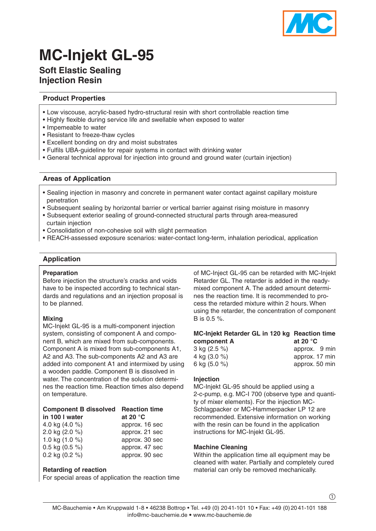

# **MC-Injekt GL-95**

# **Soft Elastic Sealing Injection Resin**

# **Product Properties**

- Low viscouse, acrylic-based hydro-structural resin with short controllable reaction time
- Highly flexible during service life and swellable when exposed to water
- Impemeable to water
- Resistant to freeze-thaw cycles
- Excellent bonding on dry and moist substrates
- Fulfils UBA-guideline for repair systems in contact with drinking water
- General technical approval for injection into ground and ground water (curtain injection)

## **Areas of Application**

- Sealing injection in masonry and concrete in permanent water contact against capillary moisture penetration
- Subsequent sealing by horizontal barrier or vertical barrier against rising moisture in masonry
- Subsequent exterior sealing of ground-connected structural parts through area-measured curtain injection
- Consolidation of non-cohesive soil with slight permeation
- REACH-assessed exposure scenarios: water-contact long-term, inhalation periodical, application

## **Application**

#### **Preparation**

Before injection the structure's cracks and voids have to be inspected according to technical standards and regulations and an injection proposal is to be planned.

#### **Mixing**

MC-Injekt GL-95 is a multi-component injection system, consisting of component A and component B, which are mixed from sub-components. Component A is mixed from sub-components A1, A2 and A3. The sub-components A2 and A3 are added into component A1 and intermixed by using a wooden paddle. Component B is dissolved in water. The concentration of the solution determines the reaction time. Reaction times also depend on temperature.

| <b>Component B dissolved Reaction time</b> |                   |
|--------------------------------------------|-------------------|
| in 100 I water                             | at 20 $\degree$ C |
| 4.0 kg $(4.0 %$                            | approx. 16 sec    |
| 2.0 kg (2.0 %)                             | approx. 21 sec    |
| 1.0 kg $(1.0 %$                            | approx. 30 sec    |
| 0.5 kg $(0.5\%)$                           | approx. 47 sec    |

0.2 kg (0.2 %) approx. 90 sec

#### **Retarding of reaction**

For special areas of application the reaction time

of MC-Inject GL-95 can be retarded with MC-Injekt Retarder GL. The retarder is added in the readymixed component A. The added amount determines the reaction time. It is recommended to process the retarded mixture within 2 hours. When using the retarder, the concentration of component B is 0.5 %.

# **MC-Injekt Retarder GL in 120 kg Reaction time** component A

| 3 kg (2.5 %) | approx. 9 min  |  |
|--------------|----------------|--|
| 4 kg (3.0 %) | approx. 17 min |  |
| 6 kg (5.0 %) | approx. 50 min |  |

#### **Injection**

MC-Injekt GL-95 should be applied using a 2-c-pump, e.g. MC-I 700 (observe type and quantity of mixer elements). For the injection MC-Schlagpacker or MC-Hammerpacker LP 12 are recommended. Extensive information on working with the resin can be found in the application instructions for MC-Injekt GL-95.

#### **Machine Cleaning**

Within the application time all equipment may be cleaned with water. Partially and completely cured material can only be removed mechanically.

 $^\copyright$